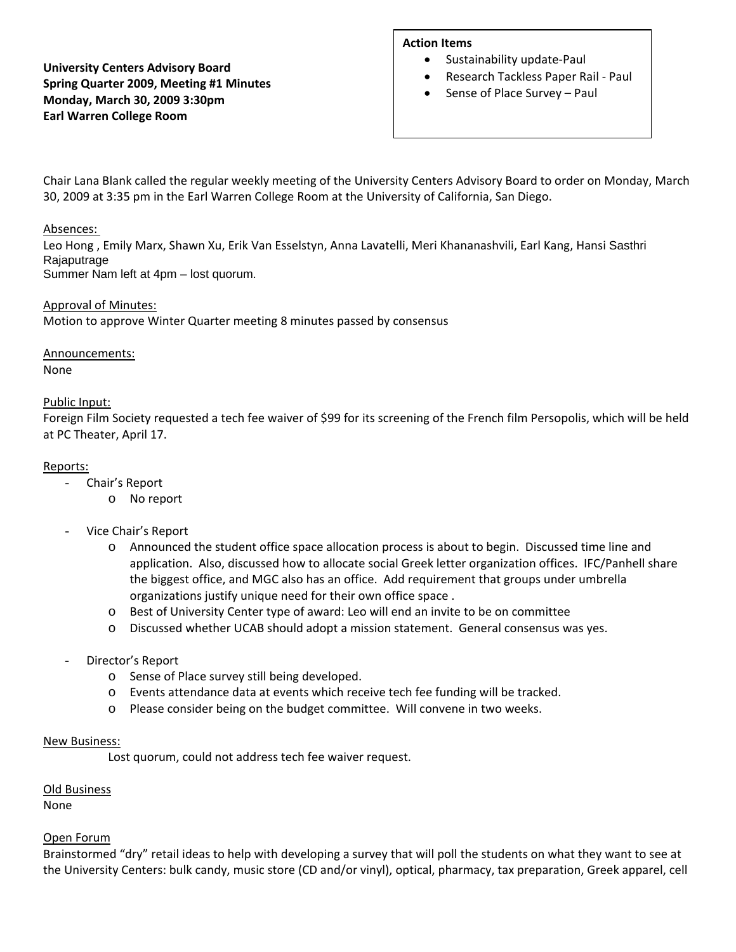# **University Centers Advisory Board Spring Quarter 2009, Meeting #1 Minutes Monday, March 30, 2009 3:30pm Earl Warren College Room**

# **Action Items**

- Sustainability update-Paul
- Research Tackless Paper Rail ‐ Paul
- Sense of Place Survey Paul

Chair Lana Blank called the regular weekly meeting of the University Centers Advisory Board to order on Monday, March 30, 2009 at 3:35 pm in the Earl Warren College Room at the University of California, San Diego.

# Absences:

Leo Hong , Emily Marx, Shawn Xu, Erik Van Esselstyn, Anna Lavatelli, Meri Khananashvili, Earl Kang, Hansi Sasthri **Rajaputrage** Summer Nam left at 4pm – lost quorum.

# Approval of Minutes:

Motion to approve Winter Quarter meeting 8 minutes passed by consensus

# Announcements:

None

# Public Input:

Foreign Film Society requested a tech fee waiver of \$99 for its screening of the French film Persopolis, which will be held at PC Theater, April 17.

# Reports:

- Chair's Report
	- o No report
- Vice Chair's Report
	- o Announced the student office space allocation process is about to begin. Discussed time line and application. Also, discussed how to allocate social Greek letter organization offices. IFC/Panhell share the biggest office, and MGC also has an office. Add requirement that groups under umbrella organizations justify unique need for their own office space .
	- o Best of University Center type of award: Leo will end an invite to be on committee
	- o Discussed whether UCAB should adopt a mission statement. General consensus was yes.
- Director's Report
	- o Sense of Place survey still being developed.
	- o Events attendance data at events which receive tech fee funding will be tracked.
	- o Please consider being on the budget committee. Will convene in two weeks.

#### New Business:

Lost quorum, could not address tech fee waiver request.

#### Old Business

None

#### Open Forum

Brainstormed "dry" retail ideas to help with developing a survey that will poll the students on what they want to see at the University Centers: bulk candy, music store (CD and/or vinyl), optical, pharmacy, tax preparation, Greek apparel, cell